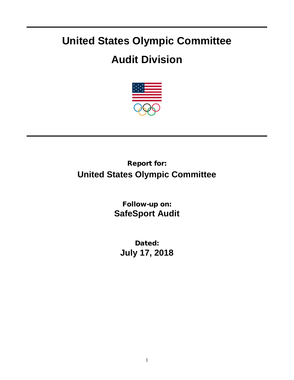## **United States Olympic Committee**

## **Audit Division**



Report for: **United States Olympic Committee**

> Follow-up on: **SafeSport Audit**

Dated: **July 17, 2018**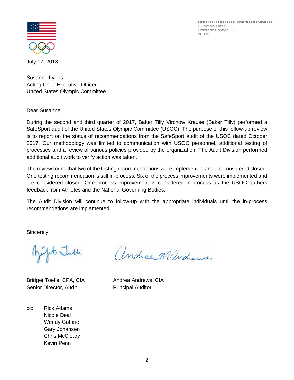UNITED STATES OLYMPIC COMMITTEE 1 Olympic Plaza Colorado Springs, CO 80909



July 17, 2018

Susanne Lyons Acting Chief Executive Officer United States Olympic Committee

Dear Susanne,

During the second and third quarter of 2017, Baker Tilly Virchow Krause (Baker Tilly) performed a SafeSport audit of the United States Olympic Committee (USOC). The purpose of this follow-up review is to report on the status of recommendations from the SafeSport audit of the USOC dated October 2017. Our methodology was limited to communication with USOC personnel, additional testing of processes and a review of various policies provided by the organization. The Audit Division performed additional audit work to verify action was taken.

The review found that two of the testing recommendations were implemented and are considered closed. One testing recommendation is still in-process. Six of the process improvements were implemented and are considered closed. One process improvement is considered in-process as the USOC gathers feedback from Athletes and the National Governing Bodies.

The Audit Division will continue to follow-up with the appropriate individuals until the in-process recommendations are implemented.

Sincerely,

Tympt Julle

Bridget Toelle, CPA, CIA Andrea Andrews, CIA Senior Director, Audit Principal Auditor

cc: Rick Adams Nicole Deal Wendy Guthrie Gary Johansen Chris McCleary Kevin Penn

andreamandens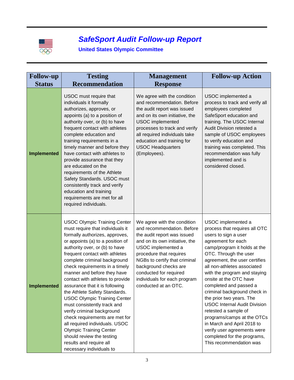

## *SafeSport Audit Follow-up Report*

## **United States Olympic Committee**

| <b>Follow-up</b>   | <b>Testing</b>                                                                                                                                                                                                                                                                                                                                                                                                                                                                                                                                                                                                                                                                                                          | <b>Management</b>                                                                                                                                                                                                                                                                                                       | <b>Follow-up Action</b>                                                                                                                                                                                                                                                                                                                                                                                                                                                                                                                                                                        |
|--------------------|-------------------------------------------------------------------------------------------------------------------------------------------------------------------------------------------------------------------------------------------------------------------------------------------------------------------------------------------------------------------------------------------------------------------------------------------------------------------------------------------------------------------------------------------------------------------------------------------------------------------------------------------------------------------------------------------------------------------------|-------------------------------------------------------------------------------------------------------------------------------------------------------------------------------------------------------------------------------------------------------------------------------------------------------------------------|------------------------------------------------------------------------------------------------------------------------------------------------------------------------------------------------------------------------------------------------------------------------------------------------------------------------------------------------------------------------------------------------------------------------------------------------------------------------------------------------------------------------------------------------------------------------------------------------|
| <b>Status</b>      | <b>Recommendation</b>                                                                                                                                                                                                                                                                                                                                                                                                                                                                                                                                                                                                                                                                                                   | <b>Response</b>                                                                                                                                                                                                                                                                                                         |                                                                                                                                                                                                                                                                                                                                                                                                                                                                                                                                                                                                |
| <b>Implemented</b> | USOC must require that<br>individuals it formally<br>authorizes, approves, or<br>appoints (a) to a position of<br>authority over, or (b) to have<br>frequent contact with athletes<br>complete education and<br>training requirements in a<br>timely manner and before they<br>have contact with athletes to<br>provide assurance that they<br>are educated on the<br>requirements of the Athlete<br>Safety Standards. USOC must<br>consistently track and verify<br>education and training<br>requirements are met for all<br>required individuals.                                                                                                                                                                    | We agree with the condition<br>and recommendation. Before<br>the audit report was issued<br>and on its own initiative, the<br><b>USOC</b> implemented<br>processes to track and verify<br>all required individuals take<br>education and training for<br><b>USOC Headquarters</b><br>(Employees).                       | USOC implemented a<br>process to track and verify all<br>employees completed<br>SafeSport education and<br>training. The USOC Internal<br>Audit Division retested a<br>sample of USOC employees<br>to verify education and<br>training was completed. This<br>recommendation was fully<br>implemented and is<br>considered closed.                                                                                                                                                                                                                                                             |
| <b>Implemented</b> | <b>USOC Olympic Training Center</b><br>must require that individuals it<br>formally authorizes, approves,<br>or appoints (a) to a position of<br>authority over, or (b) to have<br>frequent contact with athletes<br>complete criminal background<br>check requirements in a timely<br>manner and before they have<br>contact with athletes to provide<br>assurance that it is following<br>the Athlete Safety Standards.<br><b>USOC Olympic Training Center</b><br>must consistently track and<br>verify criminal background<br>check requirements are met for<br>all required individuals. USOC<br><b>Olympic Training Center</b><br>should review the testing<br>results and require all<br>necessary individuals to | We agree with the condition<br>and recommendation. Before<br>the audit report was issued<br>and on its own initiative, the<br>USOC implemented a<br>procedure that requires<br>NGBs to certify that criminal<br>background checks are<br>conducted for required<br>individuals for each program<br>conducted at an OTC. | USOC implemented a<br>process that requires all OTC<br>users to sign a user<br>agreement for each<br>camp/program it holds at the<br>OTC. Through the user<br>agreement, the user certifies<br>all non-athletes associated<br>with the program and staying<br>onsite at the OTC have<br>completed and passed a<br>criminal background check in<br>the prior two years. The<br><b>USOC Internal Audit Division</b><br>retested a sample of<br>programs/camps at the OTCs<br>in March and April 2018 to<br>verify user agreements were<br>completed for the programs,<br>This recommendation was |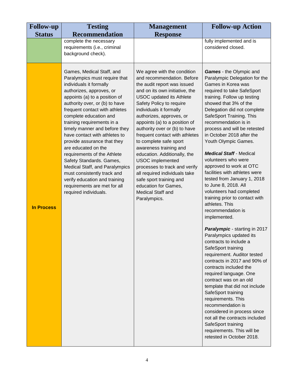| <b>Follow-up</b>  | <b>Testing</b>                                                                                                                                                                                                                                                                                                                                                                                                                                                                                                                                                                                                               | <b>Management</b>                                                                                                                                                                                                                                                                                                                                                                                                                                                                                                                                                                                                             | <b>Follow-up Action</b>                                                                                                                                                                                                                                                                                                                                                                                                                                                                                                                                                                                                                                                                                                                                                                                                                                                                                                                                                                                                                                                                                                                                           |
|-------------------|------------------------------------------------------------------------------------------------------------------------------------------------------------------------------------------------------------------------------------------------------------------------------------------------------------------------------------------------------------------------------------------------------------------------------------------------------------------------------------------------------------------------------------------------------------------------------------------------------------------------------|-------------------------------------------------------------------------------------------------------------------------------------------------------------------------------------------------------------------------------------------------------------------------------------------------------------------------------------------------------------------------------------------------------------------------------------------------------------------------------------------------------------------------------------------------------------------------------------------------------------------------------|-------------------------------------------------------------------------------------------------------------------------------------------------------------------------------------------------------------------------------------------------------------------------------------------------------------------------------------------------------------------------------------------------------------------------------------------------------------------------------------------------------------------------------------------------------------------------------------------------------------------------------------------------------------------------------------------------------------------------------------------------------------------------------------------------------------------------------------------------------------------------------------------------------------------------------------------------------------------------------------------------------------------------------------------------------------------------------------------------------------------------------------------------------------------|
| <b>Status</b>     | <b>Recommendation</b>                                                                                                                                                                                                                                                                                                                                                                                                                                                                                                                                                                                                        | <b>Response</b>                                                                                                                                                                                                                                                                                                                                                                                                                                                                                                                                                                                                               |                                                                                                                                                                                                                                                                                                                                                                                                                                                                                                                                                                                                                                                                                                                                                                                                                                                                                                                                                                                                                                                                                                                                                                   |
|                   | complete the necessary<br>requirements (i.e., criminal<br>background check).                                                                                                                                                                                                                                                                                                                                                                                                                                                                                                                                                 |                                                                                                                                                                                                                                                                                                                                                                                                                                                                                                                                                                                                                               | fully implemented and is<br>considered closed.                                                                                                                                                                                                                                                                                                                                                                                                                                                                                                                                                                                                                                                                                                                                                                                                                                                                                                                                                                                                                                                                                                                    |
| <b>In Process</b> | Games, Medical Staff, and<br>Paralympics must require that<br>individuals it formally<br>authorizes, approves, or<br>appoints (a) to a position of<br>authority over, or (b) to have<br>frequent contact with athletes<br>complete education and<br>training requirements in a<br>timely manner and before they<br>have contact with athletes to<br>provide assurance that they<br>are educated on the<br>requirements of the Athlete<br>Safety Standards. Games,<br>Medical Staff, and Paralympics<br>must consistently track and<br>verify education and training<br>requirements are met for all<br>required individuals. | We agree with the condition<br>and recommendation. Before<br>the audit report was issued<br>and on its own initiative, the<br><b>USOC</b> updated its Athlete<br>Safety Policy to require<br>individuals it formally<br>authorizes, approves, or<br>appoints (a) to a position of<br>authority over or (b) to have<br>frequent contact with athletes<br>to complete safe sport<br>awareness training and<br>education. Additionally, the<br><b>USOC</b> implemented<br>processes to track and verify<br>all required individuals take<br>safe sport training and<br>education for Games,<br>Medical Staff and<br>Paralympics. | <b>Games</b> - the Olympic and<br>Paralympic Delegation for the<br>Games in Korea was<br>required to take SafeSport<br>training. Follow up testing<br>showed that 3% of the<br>Delegation did not complete<br>SafeSport Training. This<br>recommendation is in<br>process and will be retested<br>in October 2018 after the<br>Youth Olympic Games.<br><b>Medical Staff - Medical</b><br>volunteers who were<br>approved to work at OTC<br>facilities with athletes were<br>tested from January 1, 2018<br>to June 8, 2018. All<br>volunteers had completed<br>training prior to contact with<br>athletes. This<br>recommendation is<br>implemented.<br>Paralympic - starting in 2017<br>Paralympics updated its<br>contracts to include a<br>SafeSport training<br>requirement. Auditor tested<br>contracts in 2017 and 90% of<br>contracts included the<br>required language. One<br>contract was on an old<br>template that did not include<br>SafeSport training<br>requirements. This<br>recommendation is<br>considered in process since<br>not all the contracts included<br>SafeSport training<br>requirements. This will be<br>retested in October 2018. |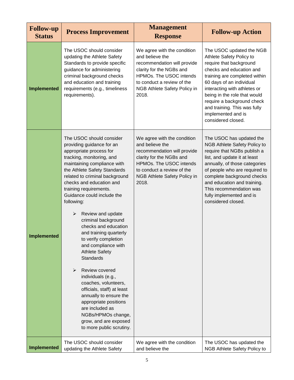| <b>Follow-up</b><br><b>Status</b> | <b>Process Improvement</b>                                                                                                                                                                                                                                                                                                                                                                                                                                                                                                                                                                                                                                                                                                                                                                                  | <b>Management</b><br><b>Response</b>                                                                                                                                                                               | <b>Follow-up Action</b>                                                                                                                                                                                                                                                                                                                            |
|-----------------------------------|-------------------------------------------------------------------------------------------------------------------------------------------------------------------------------------------------------------------------------------------------------------------------------------------------------------------------------------------------------------------------------------------------------------------------------------------------------------------------------------------------------------------------------------------------------------------------------------------------------------------------------------------------------------------------------------------------------------------------------------------------------------------------------------------------------------|--------------------------------------------------------------------------------------------------------------------------------------------------------------------------------------------------------------------|----------------------------------------------------------------------------------------------------------------------------------------------------------------------------------------------------------------------------------------------------------------------------------------------------------------------------------------------------|
| <b>Implemented</b>                | The USOC should consider<br>updating the Athlete Safety<br>Standards to provide specific<br>guidance for administering<br>criminal background checks<br>and education and training<br>requirements (e.g., timeliness<br>requirements).                                                                                                                                                                                                                                                                                                                                                                                                                                                                                                                                                                      | We agree with the condition<br>and believe the<br>recommendation will provide<br>clarity for the NGBs and<br>HPMOs. The USOC intends<br>to conduct a review of the<br>NGB Athlete Safety Policy in<br>2018.        | The USOC updated the NGB<br>Athlete Safety Policy to<br>require that background<br>checks and education and<br>training are completed within<br>60 days of an individual<br>interacting with athletes or<br>being in the role that would<br>require a background check<br>and training. This was fully<br>implemented and is<br>considered closed. |
| <b>Implemented</b>                | The USOC should consider<br>providing guidance for an<br>appropriate process for<br>tracking, monitoring, and<br>maintaining compliance with<br>the Athlete Safety Standards<br>related to criminal background<br>checks and education and<br>training requirements.<br>Guidance could include the<br>following:<br>Review and update<br>$\blacktriangleright$<br>criminal background<br>checks and education<br>and training quarterly<br>to verify completion<br>and compliance with<br><b>Athlete Safety</b><br><b>Standards</b><br>$\blacktriangleright$<br>Review covered<br>individuals (e.g.,<br>coaches, volunteers,<br>officials, staff) at least<br>annually to ensure the<br>appropriate positions<br>are included as<br>NGBs/HPMOs change,<br>grow, and are exposed<br>to more public scrutiny. | We agree with the condition<br>and believe the<br>recommendation will provide<br>clarity for the NGBs and<br><b>HPMOs. The USOC intends</b><br>to conduct a review of the<br>NGB Athlete Safety Policy in<br>2018. | The USOC has updated the<br>NGB Athlete Safety Policy to<br>require that NGBs publish a<br>list, and update it at least<br>annually, of those categories<br>of people who are required to<br>complete background checks<br>and education and training.<br>This recommendation was<br>fully implemented and is<br>considered closed.                |
| <b>Implemented</b>                | The USOC should consider<br>updating the Athlete Safety                                                                                                                                                                                                                                                                                                                                                                                                                                                                                                                                                                                                                                                                                                                                                     | We agree with the condition<br>and believe the                                                                                                                                                                     | The USOC has updated the<br>NGB Athlete Safety Policy to                                                                                                                                                                                                                                                                                           |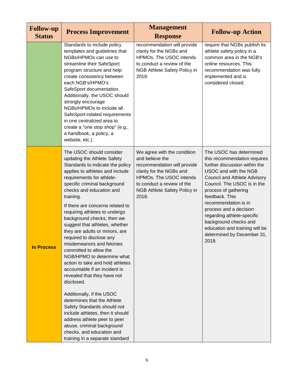| <b>Follow-up</b><br><b>Status</b> | <b>Process Improvement</b>                                                                                                                                                                                                                                                                                                                                                                                                                                                                                                                                                                                                                                                                                                                                                                                                                                                                                  | <b>Management</b><br><b>Response</b>                                                                                                                                                                               | <b>Follow-up Action</b>                                                                                                                                                                                                                                                                                                                                                                                             |
|-----------------------------------|-------------------------------------------------------------------------------------------------------------------------------------------------------------------------------------------------------------------------------------------------------------------------------------------------------------------------------------------------------------------------------------------------------------------------------------------------------------------------------------------------------------------------------------------------------------------------------------------------------------------------------------------------------------------------------------------------------------------------------------------------------------------------------------------------------------------------------------------------------------------------------------------------------------|--------------------------------------------------------------------------------------------------------------------------------------------------------------------------------------------------------------------|---------------------------------------------------------------------------------------------------------------------------------------------------------------------------------------------------------------------------------------------------------------------------------------------------------------------------------------------------------------------------------------------------------------------|
|                                   | Standards to include policy<br>templates and guidelines that<br>NGBs/HPMOs can use to<br>streamline their SafeSport<br>program structure and help<br>create consistency between<br>each NGB's/HPMO's<br>SafeSport documentation.<br>Additionally, the USOC should<br>strongly encourage<br>NGBs/HPMOs to include all<br>SafeSport-related requirements<br>in one centralized area to<br>create a "one stop shop" (e.g.,<br>a handbook, a policy, a<br>website, etc.).                                                                                                                                                                                                                                                                                                                                                                                                                                       | recommendation will provide<br>clarity for the NGBs and<br>HPMOs. The USOC intends<br>to conduct a review of the<br>NGB Athlete Safety Policy in<br>2018.                                                          | require that NGBs publish its<br>athlete safety policy in a<br>common area in the NGB's<br>online resources. This<br>recommendation was fully<br>implemented and is<br>considered closed.                                                                                                                                                                                                                           |
| <b>In Process</b>                 | The USOC should consider<br>updating the Athlete Safety<br>Standards to indicate the policy<br>applies to athletes and include<br>requirements for athlete-<br>specific criminal background<br>checks and education and<br>training.<br>If there are concerns related to<br>requiring athletes to undergo<br>background checks, then we<br>suggest that athletes, whether<br>they are adults or minors, are<br>required to disclose any<br>misdemeanors and felonies<br>committed to allow the<br>NGB/HPMO to determine what<br>action to take and hold athletes<br>accountable if an incident is<br>revealed that they have not<br>disclosed.<br>Additionally, if the USOC<br>determines that the Athlete<br>Safety Standards should not<br>include athletes, then it should<br>address athlete peer to peer<br>abuse, criminal background<br>checks, and education and<br>training in a separate standard | We agree with the condition<br>and believe the<br>recommendation will provide<br>clarity for the NGBs and<br>HPMOs. The USOC intends<br>to conduct a review of the<br><b>NGB Athlete Safety Policy in</b><br>2018. | The USOC has determined<br>this recommendation requires<br>further discussion within the<br>USOC and with the NGB<br><b>Council and Athlete Advisory</b><br>Council. The USOC is in the<br>process of gathering<br>feedback. This<br>recommendation is in<br>process and a decision<br>regarding athlete-specific<br>background checks and<br>education and training will be<br>determined by December 31,<br>2018. |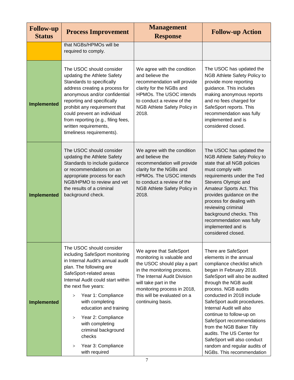| <b>Follow-up</b><br><b>Status</b> | <b>Process Improvement</b>                                                                                                                                                                                                                                                                                                                                                                                                         | <b>Management</b><br><b>Response</b>                                                                                                                                                                                                                          | <b>Follow-up Action</b>                                                                                                                                                                                                                                                                                                                                                                                                                                                                        |
|-----------------------------------|------------------------------------------------------------------------------------------------------------------------------------------------------------------------------------------------------------------------------------------------------------------------------------------------------------------------------------------------------------------------------------------------------------------------------------|---------------------------------------------------------------------------------------------------------------------------------------------------------------------------------------------------------------------------------------------------------------|------------------------------------------------------------------------------------------------------------------------------------------------------------------------------------------------------------------------------------------------------------------------------------------------------------------------------------------------------------------------------------------------------------------------------------------------------------------------------------------------|
|                                   | that NGBs/HPMOs will be<br>required to comply.                                                                                                                                                                                                                                                                                                                                                                                     |                                                                                                                                                                                                                                                               |                                                                                                                                                                                                                                                                                                                                                                                                                                                                                                |
| <b>Implemented</b>                | The USOC should consider<br>updating the Athlete Safety<br>Standards to specifically<br>address creating a process for<br>anonymous and/or confidential<br>reporting and specifically<br>prohibit any requirement that<br>could prevent an individual<br>from reporting (e.g., filing fees,<br>written requirements,<br>timeliness requirements).                                                                                  | We agree with the condition<br>and believe the<br>recommendation will provide<br>clarity for the NGBs and<br>HPMOs. The USOC intends<br>to conduct a review of the<br>NGB Athlete Safety Policy in<br>2018.                                                   | The USOC has updated the<br>NGB Athlete Safety Policy to<br>provide more reporting<br>guidance. This includes<br>making anonymous reports<br>and no fees charged for<br>SafeSport reports. This<br>recommendation was fully<br>implemented and is<br>considered closed.                                                                                                                                                                                                                        |
| <b>Implemented</b>                | The USOC should consider<br>updating the Athlete Safety<br>Standards to include guidance<br>or recommendations on an<br>appropriate process for each<br>NGB/HPMO to review and vet<br>the results of a criminal<br>background check.                                                                                                                                                                                               | We agree with the condition<br>and believe the<br>recommendation will provide<br>clarity for the NGBs and<br><b>HPMOs. The USOC intends</b><br>to conduct a review of the<br>NGB Athlete Safety Policy in<br>2018.                                            | The USOC has updated the<br>NGB Athlete Safety Policy to<br>state that all NGB policies<br>must comply with<br>requirements under the Ted<br>Stevens Olympic and<br>Amateur Sports Act. This<br>provides guidance on the<br>process for dealing with<br>reviewing criminal<br>background checks. This<br>recommendation was fully<br>implemented and is<br>considered closed.                                                                                                                  |
| <b>Implemented</b>                | The USOC should consider<br>including SafeSport monitoring<br>in Internal Audit's annual audit<br>plan. The following are<br>SafeSport-related areas<br>Internal Audit could start within<br>the next five years:<br>Year 1: Compliance<br>><br>with completing<br>education and training<br>Year 2: Compliance<br>$\rm{>}$<br>with completing<br>criminal background<br>checks<br>Year 3: Compliance<br>$\rm{>}$<br>with required | We agree that SafeSport<br>monitoring is valuable and<br>the USOC should play a part<br>in the monitoring process.<br>The Internal Audit Division<br>will take part in the<br>monitoring process in 2018,<br>this will be evaluated on a<br>continuing basis. | There are SafeSport<br>elements in the annual<br>compliance checklist which<br>began in February 2018.<br>SafeSport will also be audited<br>through the NGB audit<br>process. NGB audits<br>conducted in 2018 include<br>SafeSport audit procedures.<br>Internal Audit will also<br>continue to follow-up on<br>SafeSport recommendations<br>from the NGB Baker Tilly<br>audits. The US Center for<br>SafeSport will also conduct<br>random and regular audits of<br>NGBs. This recommendation |